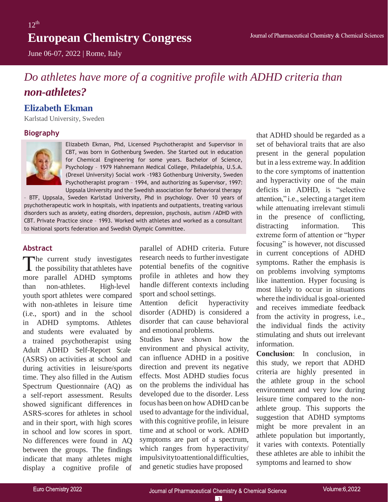June 06-07, 2022 | Rome, Italy

# *Do athletes have more of a cognitive profile with ADHD criteria than non-athletes?*

### **Elizabeth Ekman**

Karlstad University, Sweden

#### **Biography**



Elizabeth Ekman, Phd, Licensed Psychotherapist and Supervisor in CBT, was born in Gothenburg Sweden. She Started out in education for Chemical Engineering for some years. Bachelor of Science, Psychology – 1979 Hahnemann Medical College, Philadelphia, U.S.A. (Drexel University) Social work -1983 Gothenburg University, Sweden Psychotherapist program – 1994, and authorizing as Supervisor, 1997: Uppsala University and the Swedish association for Behavioral therapy

– BTF, Uppsala, Sweden Karlstad University, Phd in psychology. Over 10 years of psychotherapeutic work in hospitals, with inpatients and outpatients, treating various disorders such as anxiety, eating disorders, depression, psychosis, autism /ADHD with CBT. Private Practice since – 1993. Worked with athletes and worked as a consultant to National sports federation and Swedish Olympic Committee.

#### **Abstract**

The current study investigates  $\blacktriangle$  the possibility that athletes have more parallel ADHD symptoms than non-athletes. High-level youth sport athletes were compared with non-athletes in leisure time (i.e., sport) and in the school in ADHD symptoms. Athletes and students were evaluated by a trained psychotherapist using Adult ADHD Self-Report Scale (ASRS) on activities at school and during activities in leisure/sports time. They also filled in the Autism Spectrum Questionnaire (AQ) as a self-report assessment. Results showed significant differences in ASRS-scores for athletes in school and in their sport, with high scores in school and low scores in sport. No differences were found in AQ between the groups. The findings indicate that many athletes might display a cognitive profile of

parallel of ADHD criteria. Future research needs to further investigate potential benefits of the cognitive profile in athletes and how they handle different contexts including sport and school settings.

Attention deficit hyperactivity disorder (ADHD) is considered a disorder that can cause behavioral and emotional problems.

Studies have shown how the environment and physical activity, can influence ADHD in a positive direction and prevent its negative effects. Most ADHD studies focus on the problems the individual has developed due to the disorder. Less focus has been on how ADHD can be used to advantage for the individual, with this cognitive profile, in leisure time and at school or work. ADHD symptoms are part of a spectrum, which ranges from hyperactivity/ impulsivitytoattentionaldifficulties, and genetic studies have proposed

that ADHD should be regarded as a set of behavioral traits that are also present in the general population but in a less extreme way. In addition to the core symptoms of inattention and hyperactivity one of the main deficits in ADHD, is "selective attention," i.e., selecting a target item while attenuating irrelevant stimuli in the presence of conflicting, distracting information. This extreme form of attention or "hyper focusing" is however, not discussed in current conceptions of ADHD symptoms. Rather the emphasis is on problems involving symptoms like inattention. Hyper focusing is most likely to occur in situations where the individual is goal-oriented and receives immediate feedback from the activity in progress, i.e., the individual finds the activity stimulating and shuts out irrelevant information.

**Conclusion**: In conclusion, in this study, we report that ADHD criteria are highly presented in the athlete group in the school environment and very low during leisure time compared to the nonathlete group. This supports the suggestion that ADHD symptoms might be more prevalent in an athlete population but importantly, it varies with contexts. Potentially these athletes are able to inhibit the symptoms and learned to show